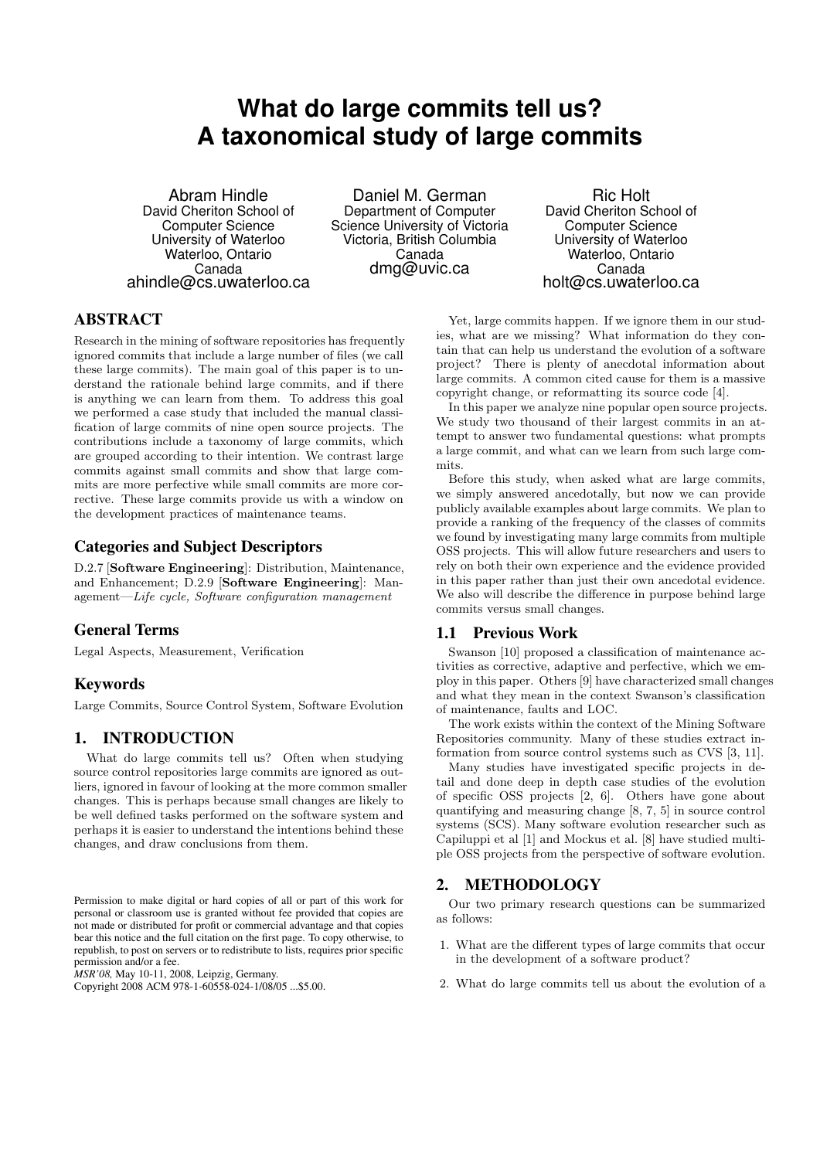# **What do large commits tell us? A taxonomical study of large commits**

Abram Hindle David Cheriton School of Computer Science University of Waterloo Waterloo, Ontario Canada ahindle@cs.uwaterloo.ca

Daniel M. German Department of Computer Science University of Victoria Victoria, British Columbia Canada dmg@uvic.ca

Ric Holt David Cheriton School of Computer Science University of Waterloo Waterloo, Ontario Canada holt@cs.uwaterloo.ca

## ABSTRACT

Research in the mining of software repositories has frequently ignored commits that include a large number of files (we call these large commits). The main goal of this paper is to understand the rationale behind large commits, and if there is anything we can learn from them. To address this goal we performed a case study that included the manual classification of large commits of nine open source projects. The contributions include a taxonomy of large commits, which are grouped according to their intention. We contrast large commits against small commits and show that large commits are more perfective while small commits are more corrective. These large commits provide us with a window on the development practices of maintenance teams.

# Categories and Subject Descriptors

D.2.7 [Software Engineering]: Distribution, Maintenance, and Enhancement; D.2.9 [Software Engineering]: Management—*Life cycle, Software configuration management*

## General Terms

Legal Aspects, Measurement, Verification

# Keywords

Large Commits, Source Control System, Software Evolution

# 1. INTRODUCTION

What do large commits tell us? Often when studying source control repositories large commits are ignored as outliers, ignored in favour of looking at the more common smaller changes. This is perhaps because small changes are likely to be well defined tasks performed on the software system and perhaps it is easier to understand the intentions behind these changes, and draw conclusions from them.

Permission to make digital or hard copies of all or part of this work for personal or classroom use is granted without fee provided that copies are not made or distributed for profit or commercial advantage and that copies bear this notice and the full citation on the first page. To copy otherwise, to republish, to post on servers or to redistribute to lists, requires prior specific permission and/or a fee.

*MSR'08,* May 10-11, 2008, Leipzig, Germany.

Yet, large commits happen. If we ignore them in our studies, what are we missing? What information do they contain that can help us understand the evolution of a software project? There is plenty of anecdotal information about large commits. A common cited cause for them is a massive copyright change, or reformatting its source code [4].

In this paper we analyze nine popular open source projects. We study two thousand of their largest commits in an attempt to answer two fundamental questions: what prompts a large commit, and what can we learn from such large commits.

Before this study, when asked what are large commits, we simply answered ancedotally, but now we can provide publicly available examples about large commits. We plan to provide a ranking of the frequency of the classes of commits we found by investigating many large commits from multiple OSS projects. This will allow future researchers and users to rely on both their own experience and the evidence provided in this paper rather than just their own ancedotal evidence. We also will describe the difference in purpose behind large commits versus small changes.

## 1.1 Previous Work

Swanson [10] proposed a classification of maintenance activities as corrective, adaptive and perfective, which we employ in this paper. Others [9] have characterized small changes and what they mean in the context Swanson's classification of maintenance, faults and LOC.

The work exists within the context of the Mining Software Repositories community. Many of these studies extract information from source control systems such as CVS [3, 11].

Many studies have investigated specific projects in detail and done deep in depth case studies of the evolution of specific OSS projects [2, 6]. Others have gone about quantifying and measuring change [8, 7, 5] in source control systems (SCS). Many software evolution researcher such as Capiluppi et al [1] and Mockus et al. [8] have studied multiple OSS projects from the perspective of software evolution.

#### 2. METHODOLOGY

Our two primary research questions can be summarized as follows:

- 1. What are the different types of large commits that occur in the development of a software product?
- 2. What do large commits tell us about the evolution of a

Copyright 2008 ACM 978-1-60558-024-1/08/05 ...\$5.00.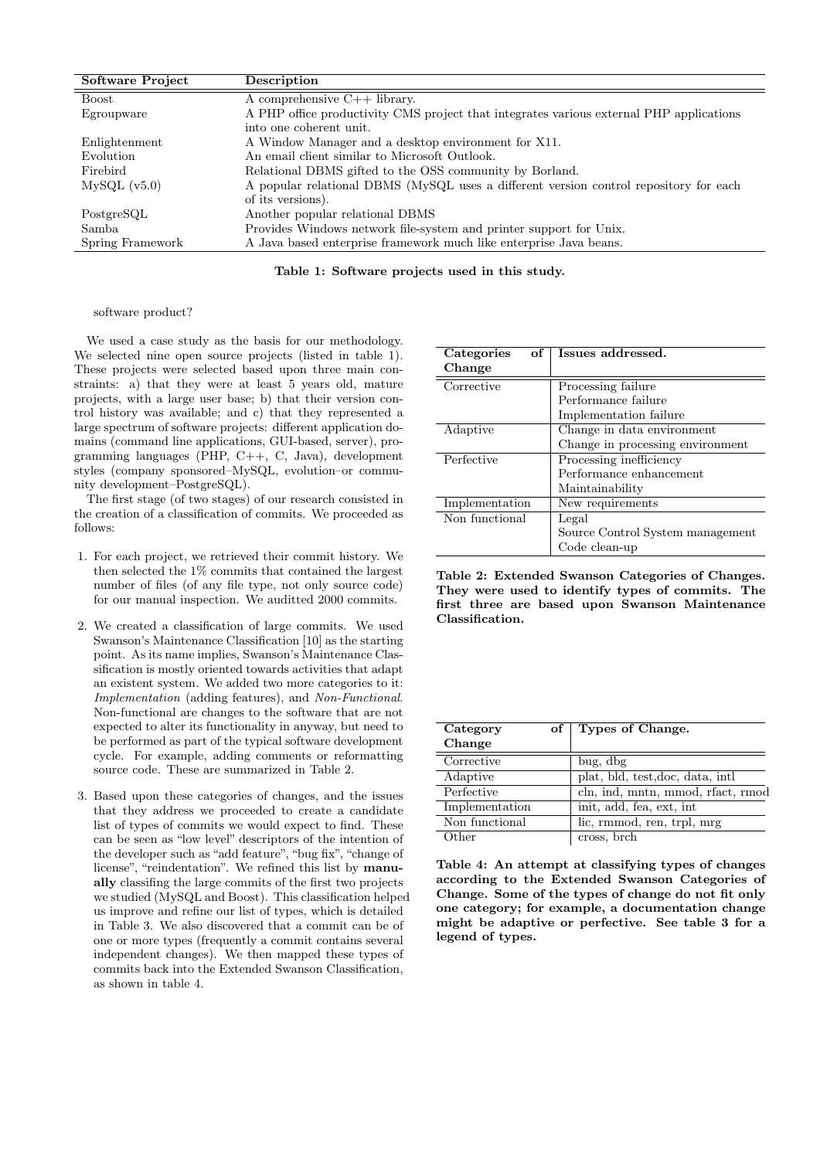| Software Project | Description                                                                             |
|------------------|-----------------------------------------------------------------------------------------|
| <b>Boost</b>     | A comprehensive $C_{++}$ library.                                                       |
| Egroupware       | A PHP office productivity CMS project that integrates various external PHP applications |
|                  | into one coherent unit.                                                                 |
| Enlightenment    | A Window Manager and a desktop environment for X11.                                     |
| Evolution        | An email client similar to Microsoft Outlook.                                           |
| Firebird         | Relational DBMS gifted to the OSS community by Borland.                                 |
| MySQL (v5.0)     | A popular relational DBMS (MySQL uses a different version control repository for each   |
|                  | of its versions).                                                                       |
| PostgreSQL       | Another popular relational DBMS                                                         |
| Samba            | Provides Windows network file-system and printer support for Unix.                      |
| Spring Framework | A Java based enterprise framework much like enterprise Java beans.                      |

Table 1: Software projects used in this study.

#### software product?

We used a case study as the basis for our methodology. We selected nine open source projects (listed in table 1). These projects were selected based upon three main constraints: a) that they were at least 5 years old, mature projects, with a large user base; b) that their version control history was available; and c) that they represented a large spectrum of software projects: different application domains (command line applications, GUI-based, server), programming languages (PHP, C++, C, Java), development styles (company sponsored–MySQL, evolution–or community development–PostgreSQL).

The first stage (of two stages) of our research consisted in the creation of a classification of commits. We proceeded as follows:

- 1. For each project, we retrieved their commit history. We then selected the 1% commits that contained the largest number of files (of any file type, not only source code) for our manual inspection. We auditted 2000 commits.
- 2. We created a classification of large commits. We used Swanson's Maintenance Classification [10] as the starting point. As its name implies, Swanson's Maintenance Classification is mostly oriented towards activities that adapt an existent system. We added two more categories to it: *Implementation* (adding features), and *Non-Functional*. Non-functional are changes to the software that are not expected to alter its functionality in anyway, but need to be performed as part of the typical software development cycle. For example, adding comments or reformatting source code. These are summarized in Table 2.
- 3. Based upon these categories of changes, and the issues that they address we proceeded to create a candidate list of types of commits we would expect to find. These can be seen as "low level" descriptors of the intention of the developer such as "add feature", "bug fix", "change of license", "reindentation". We refined this list by manually classifing the large commits of the first two projects we studied (MySQL and Boost). This classification helped us improve and refine our list of types, which is detailed in Table 3. We also discovered that a commit can be of one or more types (frequently a commit contains several independent changes). We then mapped these types of commits back into the Extended Swanson Classification, as shown in table 4.

| Categories<br>of | Issues addressed.                |
|------------------|----------------------------------|
| Change           |                                  |
| Corrective       | Processing failure               |
|                  | Performance failure              |
|                  | Implementation failure           |
| Adaptive         | Change in data environment       |
|                  | Change in processing environment |
| Perfective       | Processing inefficiency          |
|                  | Performance enhancement          |
|                  | Maintainability                  |
| Implementation   | New requirements                 |
| Non functional   | Legal                            |
|                  | Source Control System management |
|                  | Code clean-up                    |

Table 2: Extended Swanson Categories of Changes. They were used to identify types of commits. The first three are based upon Swanson Maintenance Classification.

| Category<br>Change | of | Types of Change.                  |
|--------------------|----|-----------------------------------|
| Corrective         |    | bug, dbg                          |
| Adaptive           |    | plat, bld, test, doc, data, intl  |
| Perfective         |    | cln, ind, mntn, mmod, rfact, rmod |
| Implementation     |    | init, add, fea, ext, int          |
| Non functional     |    | lic, rmmod, ren, trpl, mrg        |
| Other              |    | cross, brch                       |

Table 4: An attempt at classifying types of changes according to the Extended Swanson Categories of Change. Some of the types of change do not fit only one category; for example, a documentation change might be adaptive or perfective. See table 3 for a legend of types.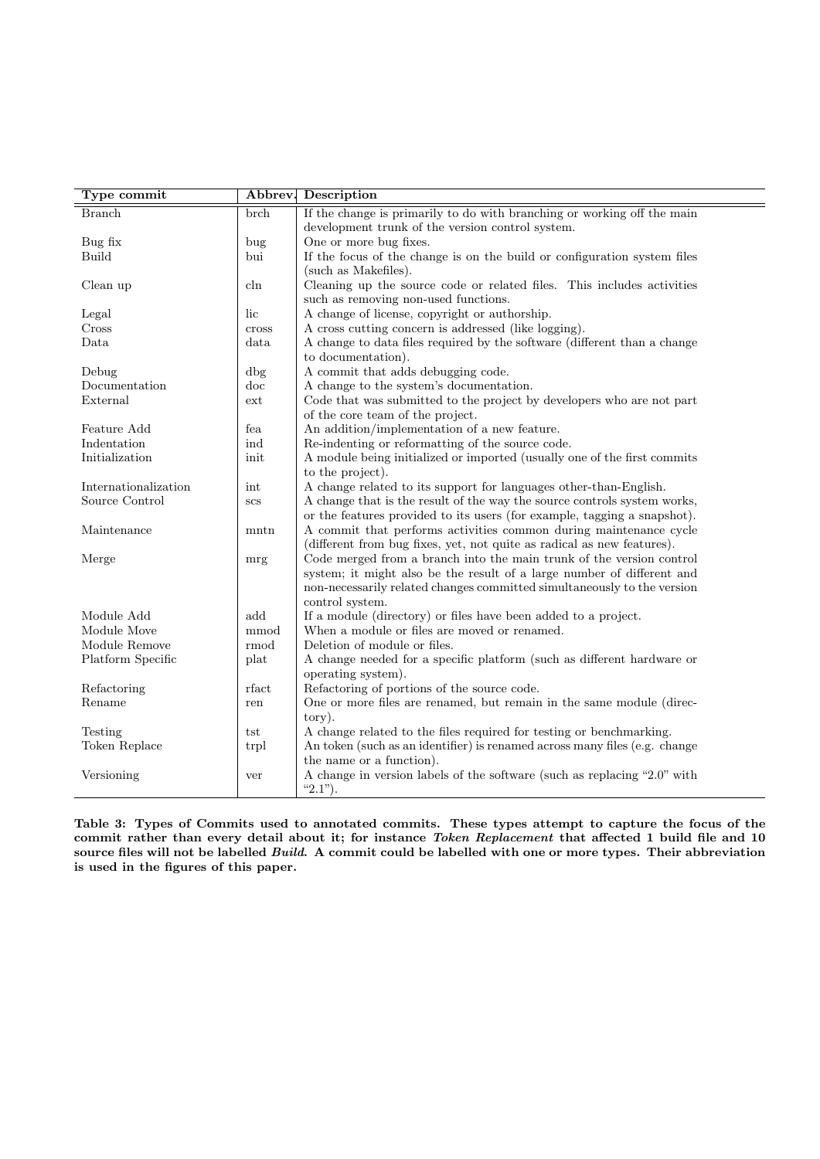| Type commit          | Abbrev.           | Description                                                                                                    |
|----------------------|-------------------|----------------------------------------------------------------------------------------------------------------|
| <b>Branch</b>        | brch              | If the change is primarily to do with branching or working off the main                                        |
|                      |                   | development trunk of the version control system.                                                               |
| Bug fix              | bug               | One or more bug fixes.                                                                                         |
| Build                | bui               | If the focus of the change is on the build or configuration system files                                       |
|                      |                   | (such as Makefiles).                                                                                           |
| Clean up             | $_{\rm cln}$      | Cleaning up the source code or related files. This includes activities                                         |
|                      |                   | such as removing non-used functions.                                                                           |
| Legal                | lic               | A change of license, copyright or authorship.                                                                  |
| Cross                | cross             | A cross cutting concern is addressed (like logging).                                                           |
| Data                 | $_{\rm data}$     | A change to data files required by the software (different than a change                                       |
|                      |                   | to documentation).                                                                                             |
| Debug                | dbg               | A commit that adds debugging code.                                                                             |
| Documentation        | $_{\mathrm{doc}}$ | A change to the system's documentation.                                                                        |
| External             | ext               | Code that was submitted to the project by developers who are not part                                          |
|                      |                   | of the core team of the project.                                                                               |
| Feature Add          | fea               | An addition/implementation of a new feature.                                                                   |
| Indentation          | ind               | Re-indenting or reformatting of the source code.                                                               |
| Initialization       | init              | A module being initialized or imported (usually one of the first commits                                       |
|                      |                   | to the project).                                                                                               |
| Internationalization | int               | A change related to its support for languages other-than-English.                                              |
| Source Control       | SCS               | A change that is the result of the way the source controls system works,                                       |
|                      |                   | or the features provided to its users (for example, tagging a snapshot).                                       |
| Maintenance          | mntn              | A commit that performs activities common during maintenance cycle                                              |
|                      |                   | (different from bug fixes, yet, not quite as radical as new features).                                         |
| Merge                | mrg               | Code merged from a branch into the main trunk of the version control                                           |
|                      |                   | system; it might also be the result of a large number of different and                                         |
|                      |                   | non-necessarily related changes committed simultaneously to the version                                        |
| Module Add           | add               | control system.                                                                                                |
| Module Move          | mmod              | If a module (directory) or files have been added to a project.<br>When a module or files are moved or renamed. |
| Module Remove        | rmod              | Deletion of module or files.                                                                                   |
| Platform Specific    | plat              | A change needed for a specific platform (such as different hardware or                                         |
|                      |                   | operating system).                                                                                             |
| Refactoring          | rfact             | Refactoring of portions of the source code.                                                                    |
| Rename               | ren               | One or more files are renamed, but remain in the same module (direc-                                           |
|                      |                   | tory).                                                                                                         |
| Testing              | tst               | A change related to the files required for testing or benchmarking.                                            |
| Token Replace        | trpl              | An token (such as an identifier) is renamed across many files (e.g. change                                     |
|                      |                   | the name or a function).                                                                                       |
| Versioning           | ver               | A change in version labels of the software (such as replacing "2.0" with                                       |
|                      |                   | " $2.1$ ").                                                                                                    |

Table 3: Types of Commits used to annotated commits. These types attempt to capture the focus of the commit rather than every detail about it; for instance *Token Replacement* that affected 1 build file and 10 source files will not be labelled *Build*. A commit could be labelled with one or more types. Their abbreviation is used in the figures of this paper.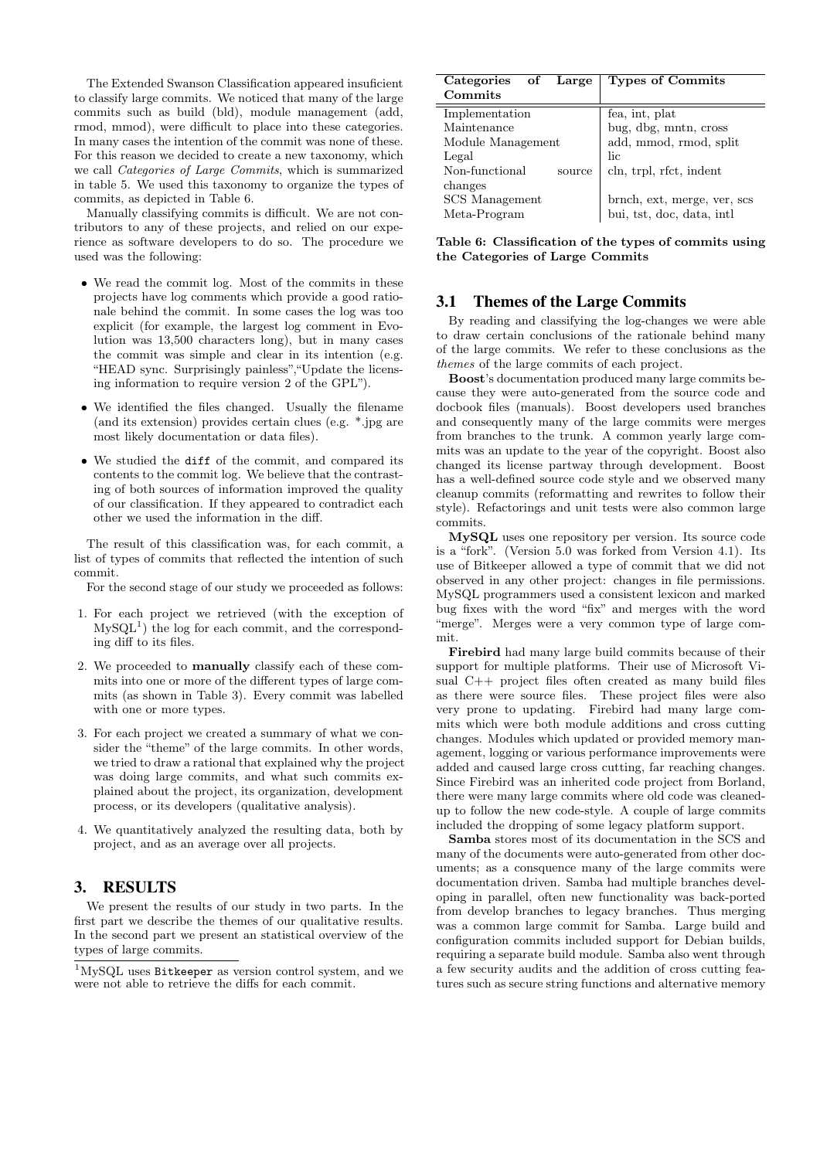The Extended Swanson Classification appeared insuficient to classify large commits. We noticed that many of the large commits such as build (bld), module management (add, rmod, mmod), were difficult to place into these categories. In many cases the intention of the commit was none of these. For this reason we decided to create a new taxonomy, which we call *Categories of Large Commits*, which is summarized in table 5. We used this taxonomy to organize the types of commits, as depicted in Table 6.

Manually classifying commits is difficult. We are not contributors to any of these projects, and relied on our experience as software developers to do so. The procedure we used was the following:

- We read the commit log. Most of the commits in these projects have log comments which provide a good rationale behind the commit. In some cases the log was too explicit (for example, the largest log comment in Evolution was 13,500 characters long), but in many cases the commit was simple and clear in its intention (e.g. "HEAD sync. Surprisingly painless","Update the licensing information to require version 2 of the GPL").
- *•* We identified the files changed. Usually the filename (and its extension) provides certain clues (e.g. \*.jpg are most likely documentation or data files).
- *•* We studied the diff of the commit, and compared its contents to the commit log. We believe that the contrasting of both sources of information improved the quality of our classification. If they appeared to contradict each other we used the information in the diff.

The result of this classification was, for each commit, a list of types of commits that reflected the intention of such commit.

For the second stage of our study we proceeded as follows:

- 1. For each project we retrieved (with the exception of  $M_ySQL<sup>T</sup>$  the log for each commit, and the corresponding diff to its files.
- 2. We proceeded to manually classify each of these commits into one or more of the different types of large commits (as shown in Table 3). Every commit was labelled with one or more types.
- 3. For each project we created a summary of what we consider the "theme" of the large commits. In other words, we tried to draw a rational that explained why the project was doing large commits, and what such commits explained about the project, its organization, development process, or its developers (qualitative analysis).
- 4. We quantitatively analyzed the resulting data, both by project, and as an average over all projects.

## 3. RESULTS

We present the results of our study in two parts. In the first part we describe the themes of our qualitative results. In the second part we present an statistical overview of the types of large commits.

| Categories of Large      | <b>Types of Commits</b>     |
|--------------------------|-----------------------------|
| Commits                  |                             |
| Implementation           | fea, int, plat              |
| Maintenance              | bug, dbg, mntn, cross       |
| Module Management        | add, mmod, rmod, split      |
| Legal                    | lic                         |
| Non-functional<br>source | cln, trpl, rfct, indent     |
| changes                  |                             |
| SCS Management           | brnch, ext, merge, ver, scs |
| Meta-Program             | bui, tst, doc, data, intl   |

Table 6: Classification of the types of commits using the Categories of Large Commits

## 3.1 Themes of the Large Commits

By reading and classifying the log-changes we were able to draw certain conclusions of the rationale behind many of the large commits. We refer to these conclusions as the *themes* of the large commits of each project.

Boost's documentation produced many large commits because they were auto-generated from the source code and docbook files (manuals). Boost developers used branches and consequently many of the large commits were merges from branches to the trunk. A common yearly large commits was an update to the year of the copyright. Boost also changed its license partway through development. Boost has a well-defined source code style and we observed many cleanup commits (reformatting and rewrites to follow their style). Refactorings and unit tests were also common large commits.

MySQL uses one repository per version. Its source code is a "fork". (Version 5.0 was forked from Version 4.1). Its use of Bitkeeper allowed a type of commit that we did not observed in any other project: changes in file permissions. MySQL programmers used a consistent lexicon and marked bug fixes with the word "fix" and merges with the word "merge". Merges were a very common type of large commit.

Firebird had many large build commits because of their support for multiple platforms. Their use of Microsoft Visual C++ project files often created as many build files as there were source files. These project files were also very prone to updating. Firebird had many large commits which were both module additions and cross cutting changes. Modules which updated or provided memory management, logging or various performance improvements were added and caused large cross cutting, far reaching changes. Since Firebird was an inherited code project from Borland, there were many large commits where old code was cleanedup to follow the new code-style. A couple of large commits included the dropping of some legacy platform support.

Samba stores most of its documentation in the SCS and many of the documents were auto-generated from other documents; as a consquence many of the large commits were documentation driven. Samba had multiple branches developing in parallel, often new functionality was back-ported from develop branches to legacy branches. Thus merging was a common large commit for Samba. Large build and configuration commits included support for Debian builds, requiring a separate build module. Samba also went through a few security audits and the addition of cross cutting features such as secure string functions and alternative memory

 $^{1}$ MySQL uses  $\texttt{Bitkeeper}$  as version control system, and we were not able to retrieve the diffs for each commit.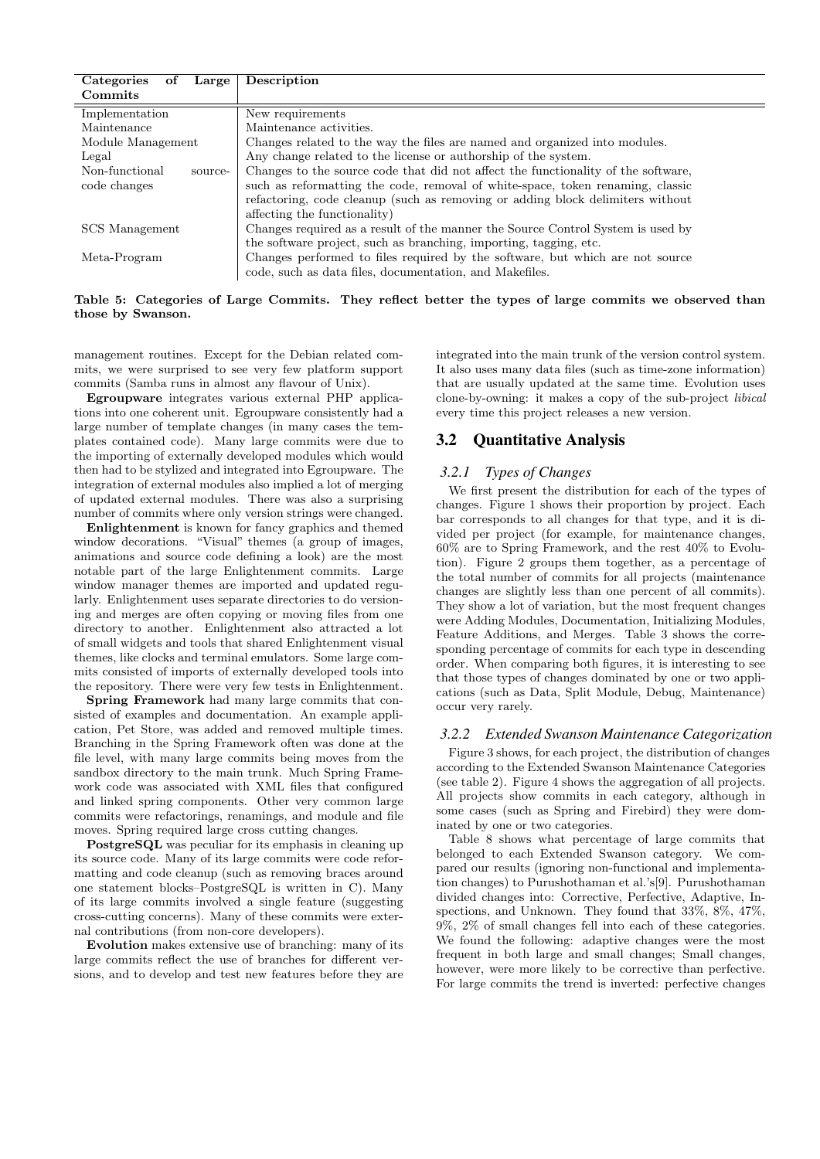| Categories<br>of<br>Large | Description                                                                       |
|---------------------------|-----------------------------------------------------------------------------------|
| Commits                   |                                                                                   |
| Implementation            | New requirements                                                                  |
| Maintenance               | Maintenance activities.                                                           |
| Module Management         | Changes related to the way the files are named and organized into modules.        |
| Legal                     | Any change related to the license or authorship of the system.                    |
| Non-functional<br>source- | Changes to the source code that did not affect the functionality of the software, |
| code changes              | such as reformatting the code, removal of white-space, token renaming, classic    |
|                           | refactoring, code cleanup (such as removing or adding block delimiters without    |
|                           | affecting the functionality)                                                      |
| SCS Management            | Changes required as a result of the manner the Source Control System is used by   |
|                           | the software project, such as branching, importing, tagging, etc.                 |
| Meta-Program              | Changes performed to files required by the software, but which are not source     |
|                           | code, such as data files, documentation, and Makefiles.                           |

Table 5: Categories of Large Commits. They reflect better the types of large commits we observed than those by Swanson.

management routines. Except for the Debian related commits, we were surprised to see very few platform support commits (Samba runs in almost any flavour of Unix).

Egroupware integrates various external PHP applications into one coherent unit. Egroupware consistently had a large number of template changes (in many cases the templates contained code). Many large commits were due to the importing of externally developed modules which would then had to be stylized and integrated into Egroupware. The integration of external modules also implied a lot of merging of updated external modules. There was also a surprising number of commits where only version strings were changed.

Enlightenment is known for fancy graphics and themed window decorations. "Visual" themes (a group of images, animations and source code defining a look) are the most notable part of the large Enlightenment commits. Large window manager themes are imported and updated regularly. Enlightenment uses separate directories to do versioning and merges are often copying or moving files from one directory to another. Enlightenment also attracted a lot of small widgets and tools that shared Enlightenment visual themes, like clocks and terminal emulators. Some large commits consisted of imports of externally developed tools into the repository. There were very few tests in Enlightenment.

Spring Framework had many large commits that consisted of examples and documentation. An example application, Pet Store, was added and removed multiple times. Branching in the Spring Framework often was done at the file level, with many large commits being moves from the sandbox directory to the main trunk. Much Spring Framework code was associated with XML files that configured and linked spring components. Other very common large commits were refactorings, renamings, and module and file moves. Spring required large cross cutting changes.

PostgreSQL was peculiar for its emphasis in cleaning up its source code. Many of its large commits were code reformatting and code cleanup (such as removing braces around one statement blocks–PostgreSQL is written in C). Many of its large commits involved a single feature (suggesting cross-cutting concerns). Many of these commits were external contributions (from non-core developers).

Evolution makes extensive use of branching: many of its large commits reflect the use of branches for different versions, and to develop and test new features before they are

integrated into the main trunk of the version control system. It also uses many data files (such as time-zone information) that are usually updated at the same time. Evolution uses clone-by-owning: it makes a copy of the sub-project *libical* every time this project releases a new version.

## 3.2 Quantitative Analysis

#### *3.2.1 Types of Changes*

We first present the distribution for each of the types of changes. Figure 1 shows their proportion by project. Each bar corresponds to all changes for that type, and it is divided per project (for example, for maintenance changes, 60% are to Spring Framework, and the rest 40% to Evolution). Figure 2 groups them together, as a percentage of the total number of commits for all projects (maintenance changes are slightly less than one percent of all commits). They show a lot of variation, but the most frequent changes were Adding Modules, Documentation, Initializing Modules, Feature Additions, and Merges. Table 3 shows the corresponding percentage of commits for each type in descending order. When comparing both figures, it is interesting to see that those types of changes dominated by one or two applications (such as Data, Split Module, Debug, Maintenance) occur very rarely.

#### *3.2.2 Extended Swanson Maintenance Categorization*

Figure 3 shows, for each project, the distribution of changes according to the Extended Swanson Maintenance Categories (see table 2). Figure 4 shows the aggregation of all projects. All projects show commits in each category, although in some cases (such as Spring and Firebird) they were dominated by one or two categories.

Table 8 shows what percentage of large commits that belonged to each Extended Swanson category. We compared our results (ignoring non-functional and implementation changes) to Purushothaman et al.'s[9]. Purushothaman divided changes into: Corrective, Perfective, Adaptive, Inspections, and Unknown. They found that 33%, 8%, 47%, 9%, 2% of small changes fell into each of these categories. We found the following: adaptive changes were the most frequent in both large and small changes; Small changes, however, were more likely to be corrective than perfective. For large commits the trend is inverted: perfective changes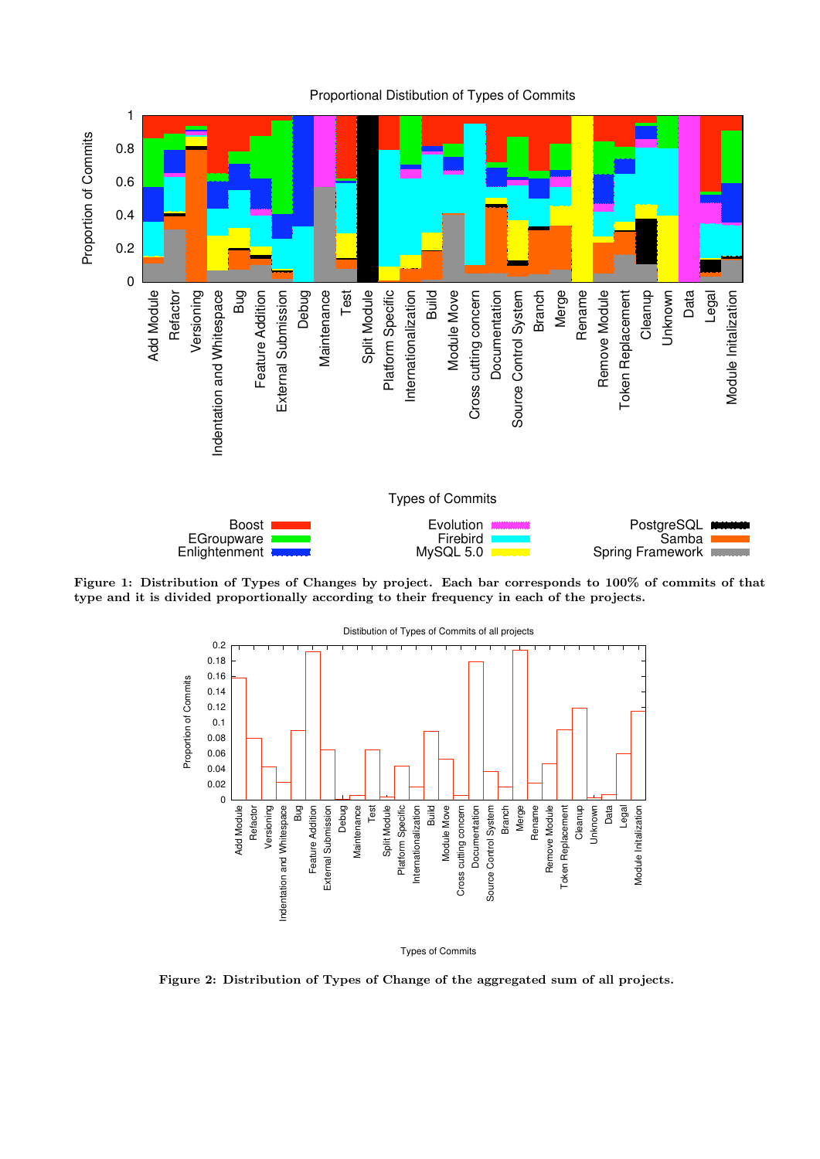

Figure 1: Distribution of Types of Changes by project. Each bar corresponds to 100% of commits of that type and it is divided proportionally according to their frequency in each of the projects.



Figure 2: Distribution of Types of Change of the aggregated sum of all projects.

## Proportional Distibution of Types of Commits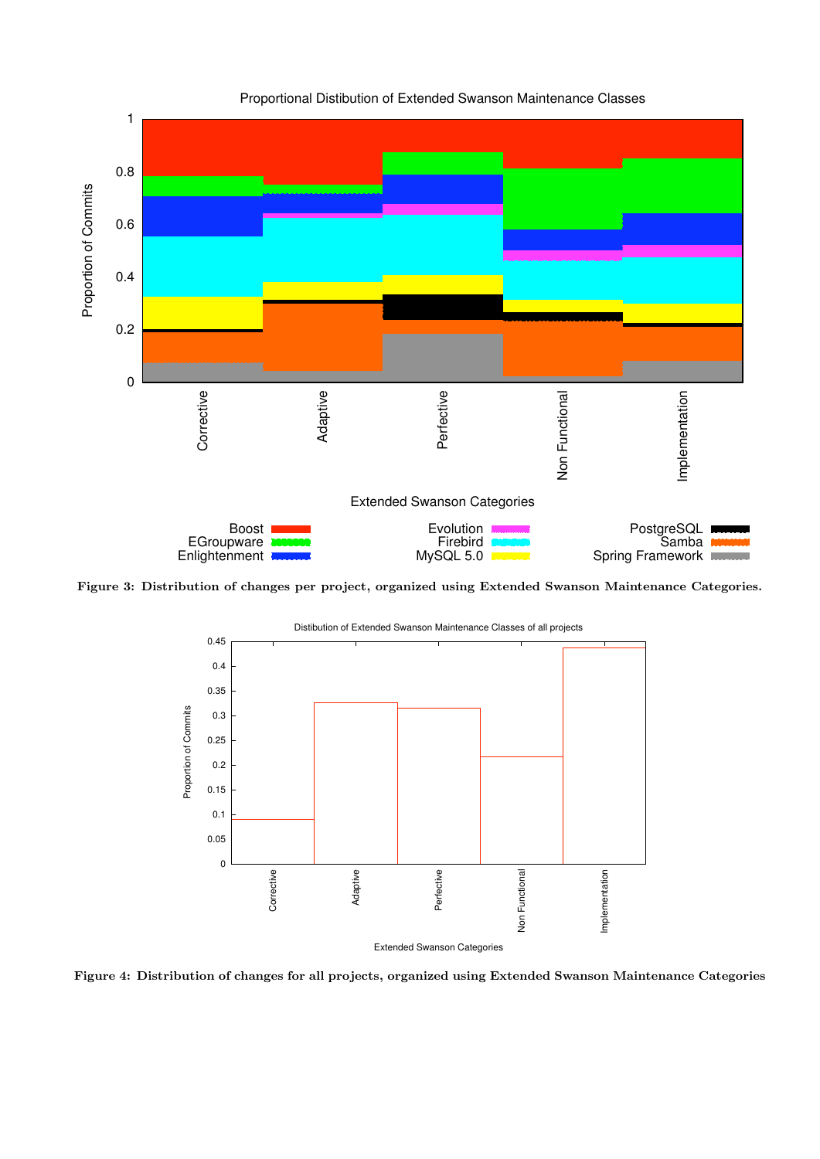

Figure 3: Distribution of changes per project, organized using Extended Swanson Maintenance Categories.



Figure 4: Distribution of changes for all projects, organized using Extended Swanson Maintenance Categories

## Proportional Distibution of Extended Swanson Maintenance Classes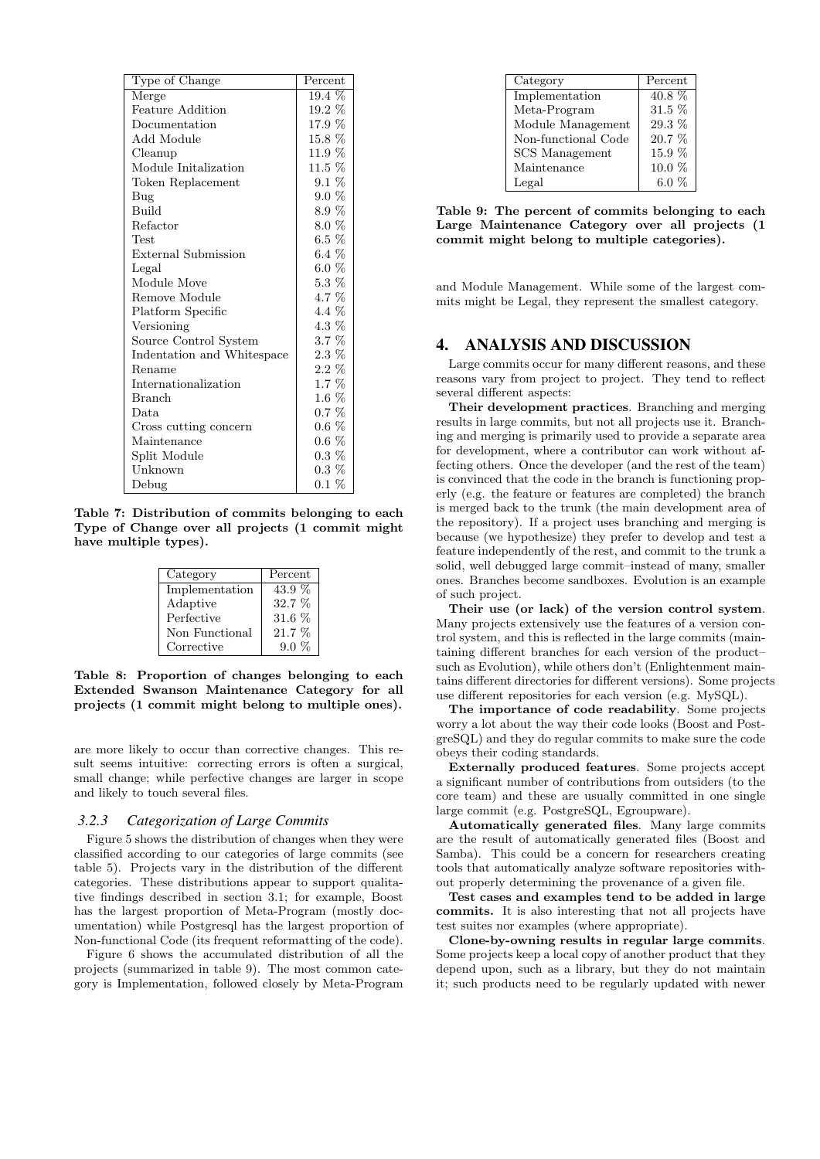| Type of Change             | Percent   |
|----------------------------|-----------|
| Merge                      | 19.4 %    |
| Feature Addition           | $19.2\%$  |
| Documentation              | $17.9\%$  |
| Add Module                 | $15.8\%$  |
| $C$ leanup                 | $11.9\%$  |
| Module Initalization       | $11.5\%$  |
| Token Replacement          | $9.1\%$   |
| Bug                        | $9.0 \%$  |
| <b>Build</b>               | $8.9\ \%$ |
| Refactor                   | $8.0\ \%$ |
| <b>Test</b>                | $6.5\%$   |
| External Submission        | 6.4 $%$   |
| Legal                      | 6.0 $%$   |
| Module Move                | $5.3\%$   |
| Remove Module              | $4.7\%$   |
| Platform Specific          | $4.4\%$   |
| Versioning                 | $4.3\%$   |
| Source Control System      | $3.7\%$   |
| Indentation and Whitespace | $2.3~\%$  |
| Rename                     | $2.2~\%$  |
| Internationalization       | $1.7\%$   |
| <b>Branch</b>              | $1.6\%$   |
| Data                       | $0.7~\%$  |
| Cross cutting concern      | $0.6~\%$  |
| Maintenance                | $0.6\%$   |
| Split Module               | $0.3~\%$  |
| Unknown                    | $0.3\%$   |
| Debug                      | $0.1 \%$  |

Table 7: Distribution of commits belonging to each Type of Change over all projects (1 commit might have multiple types).

| Category       | Percent  |
|----------------|----------|
| Implementation | 43.9 $%$ |
| Adaptive       | $32.7\%$ |
| Perfective     | 31.6 $%$ |
| Non Functional | $21.7\%$ |
| Corrective     | $9.0 \%$ |

Table 8: Proportion of changes belonging to each Extended Swanson Maintenance Category for all projects (1 commit might belong to multiple ones).

are more likely to occur than corrective changes. This result seems intuitive: correcting errors is often a surgical, small change; while perfective changes are larger in scope and likely to touch several files.

#### *3.2.3 Categorization of Large Commits*

Figure 5 shows the distribution of changes when they were classified according to our categories of large commits (see table 5). Projects vary in the distribution of the different categories. These distributions appear to support qualitative findings described in section 3.1; for example, Boost has the largest proportion of Meta-Program (mostly documentation) while Postgresql has the largest proportion of Non-functional Code (its frequent reformatting of the code).

Figure 6 shows the accumulated distribution of all the projects (summarized in table 9). The most common category is Implementation, followed closely by Meta-Program

| Category              | Percent  |
|-----------------------|----------|
| Implementation        | $40.8\%$ |
| Meta-Program          | $31.5\%$ |
| Module Management     | $29.3\%$ |
| Non-functional Code   | $20.7\%$ |
| <b>SCS</b> Management | $15.9\%$ |
| Maintenance           | $10.0\%$ |
| Legal                 | 6.0 $%$  |
|                       |          |

Table 9: The percent of commits belonging to each Large Maintenance Category over all projects (1 commit might belong to multiple categories).

and Module Management. While some of the largest commits might be Legal, they represent the smallest category.

## 4. ANALYSIS AND DISCUSSION

Large commits occur for many different reasons, and these reasons vary from project to project. They tend to reflect several different aspects:

Their development practices. Branching and merging results in large commits, but not all projects use it. Branching and merging is primarily used to provide a separate area for development, where a contributor can work without affecting others. Once the developer (and the rest of the team) is convinced that the code in the branch is functioning properly (e.g. the feature or features are completed) the branch is merged back to the trunk (the main development area of the repository). If a project uses branching and merging is because (we hypothesize) they prefer to develop and test a feature independently of the rest, and commit to the trunk a solid, well debugged large commit–instead of many, smaller ones. Branches become sandboxes. Evolution is an example of such project.

Their use (or lack) of the version control system. Many projects extensively use the features of a version control system, and this is reflected in the large commits (maintaining different branches for each version of the product– such as Evolution), while others don't (Enlightenment maintains different directories for different versions). Some projects use different repositories for each version (e.g. MySQL).

The importance of code readability. Some projects worry a lot about the way their code looks (Boost and PostgreSQL) and they do regular commits to make sure the code obeys their coding standards.

Externally produced features. Some projects accept a significant number of contributions from outsiders (to the core team) and these are usually committed in one single large commit (e.g. PostgreSQL, Egroupware).

Automatically generated files. Many large commits are the result of automatically generated files (Boost and Samba). This could be a concern for researchers creating tools that automatically analyze software repositories without properly determining the provenance of a given file.

Test cases and examples tend to be added in large commits. It is also interesting that not all projects have test suites nor examples (where appropriate).

Clone-by-owning results in regular large commits. Some projects keep a local copy of another product that they depend upon, such as a library, but they do not maintain it; such products need to be regularly updated with newer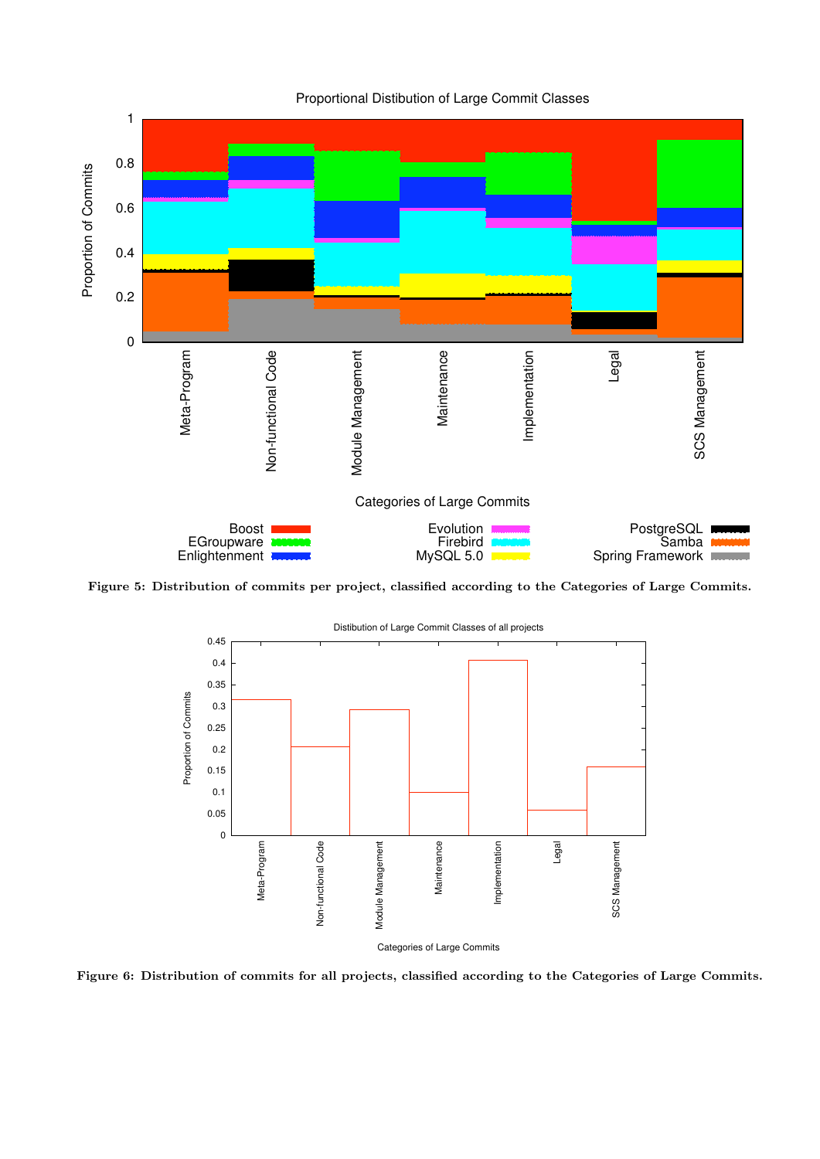

Figure 5: Distribution of commits per project, classified according to the Categories of Large Commits.



Figure 6: Distribution of commits for all projects, classified according to the Categories of Large Commits.

## Proportional Distibution of Large Commit Classes